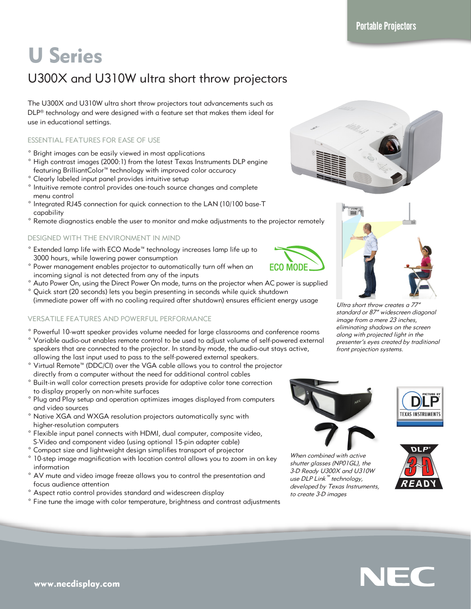# U Series

# U300X and U310W ultra short throw projectors

The U300X and U310W ultra short throw projectors tout advancements such as DLP® technology and were designed with a feature set that makes them ideal for use in educational settings.

## ESSENTIAL FEATURES FOR EASE OF USE

- ° Bright images can be easily viewed in most applications
- ° High contrast images (2000:1) from the latest Texas Instruments DLP engine featuring BrilliantColor™ technology with improved color accuracy
- ° Clearly labeled input panel provides intuitive setup
- ° Intuitive remote control provides one-touch source changes and complete menu control
- ° Integrated RJ45 connection for quick connection to the LAN (10/100 base-T capability
- ° Remote diagnostics enable the user to monitor and make adjustments to the projector remotely

# DESIGNED WITH THE ENVIRONMENT IN MIND

- ° Extended lamp life with ECO Mode™ technology increases lamp life up to 3000 hours, while lowering power consumption
- ° Power management enables projector to automatically turn off when an incoming signal is not detected from any of the inputs
- ° Auto Power On, using the Direct Power On mode, turns on the projector when AC power is supplied ° Quick start (20 seconds) lets you begin presenting in seconds while quick shutdown
- (immediate power off with no cooling required after shutdown) ensures efficient energy usage

# VERSATILE FEATURES AND POWERFUL PERFORMANCE

- ° Powerful 10-watt speaker provides volume needed for large classrooms and conference rooms ° Variable audio-out enables remote control to be used to adjust volume of self-powered external speakers that are connected to the projector. In stand-by mode, the audio-out stays active,
- allowing the last input used to pass to the self-powered external speakers.<br>  $\frac{1}{2}$  Virtual Bernste<sup>rm</sup> (DDC/CI) such the VCA soble allows you to control the pro-
- Virtual Remote™ (DDC/CI) over the VGA cable allows you to control the projector directly from a computer without the need for additional control cables
- ° Built-in wall color correction presets provide for adaptive color tone correction to display properly on non-white surfaces
- ° Plug and Play setup and operation optimizes images displayed from computers and video sources
- ° Native XGA and WXGA resolution projectors automatically sync with higher-resolution computers
- ° Flexible input panel connects with HDMI, dual computer, composite video, S-Video and component video (using optional 15-pin adapter cable)
- ° Compact size and lightweight design simplifies transport of projector
- ° 10-step image magnification with location control allows you to zoom in on key information
- ° AV mute and video image freeze allows you to control the presentation and focus audience attention
- ° Aspect ratio control provides standard and widescreen display
- ° Fine tune the image with color temperature, brightness and contrast adjustments





Ultra short throw creates a 77 standard or 87" widescreen diagonal image from a mere 23 inches, eliminating shadows on the screen along with projected light in the presenter's eyes created by traditional front projection systems.



**ECO MODE** 

When combined with active shutter glasses (NP01GL), the 3-D Ready U300X and U310W use DLP Link™ technology, developed by Texas Instruments, to create 3-D images